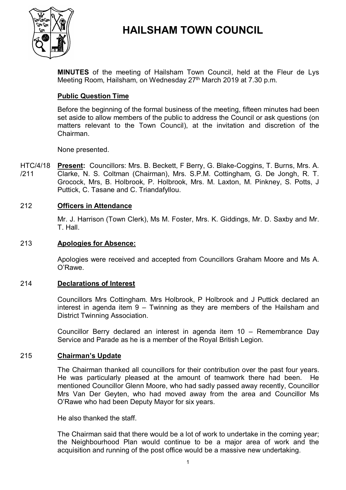

# **HAILSHAM TOWN COUNCIL**

**MINUTES** of the meeting of Hailsham Town Council, held at the Fleur de Lys Meeting Room, Hailsham, on Wednesday 27<sup>th</sup> March 2019 at 7.30 p.m.

# **Public Question Time**

Before the beginning of the formal business of the meeting, fifteen minutes had been set aside to allow members of the public to address the Council or ask questions (on matters relevant to the Town Council), at the invitation and discretion of the Chairman.

None presented.

HTC/4/18 /211 **Present:** Councillors: Mrs. B. Beckett, F Berry, G. Blake-Coggins, T. Burns, Mrs. A. Clarke, N. S. Coltman (Chairman), Mrs. S.P.M. Cottingham, G. De Jongh, R. T. Grocock, Mrs, B. Holbrook, P. Holbrook, Mrs. M. Laxton, M. Pinkney, S. Potts, J Puttick, C. Tasane and C. Triandafyllou.

# 212 **Officers in Attendance**

Mr. J. Harrison (Town Clerk), Ms M. Foster, Mrs. K. Giddings, Mr. D. Saxby and Mr. T. Hall.

### 213 **Apologies for Absence:**

Apologies were received and accepted from Councillors Graham Moore and Ms A. O'Rawe.

### 214 **Declarations of Interest**

Councillors Mrs Cottingham. Mrs Holbrook, P Holbrook and J Puttick declared an interest in agenda item 9 – Twinning as they are members of the Hailsham and District Twinning Association.

Councillor Berry declared an interest in agenda item 10 – Remembrance Day Service and Parade as he is a member of the Royal British Legion.

### 215 **Chairman's Update**

The Chairman thanked all councillors for their contribution over the past four years. He was particularly pleased at the amount of teamwork there had been. He mentioned Councillor Glenn Moore, who had sadly passed away recently, Councillor Mrs Van Der Geyten, who had moved away from the area and Councillor Ms O'Rawe who had been Deputy Mayor for six years.

He also thanked the staff.

The Chairman said that there would be a lot of work to undertake in the coming year; the Neighbourhood Plan would continue to be a major area of work and the acquisition and running of the post office would be a massive new undertaking.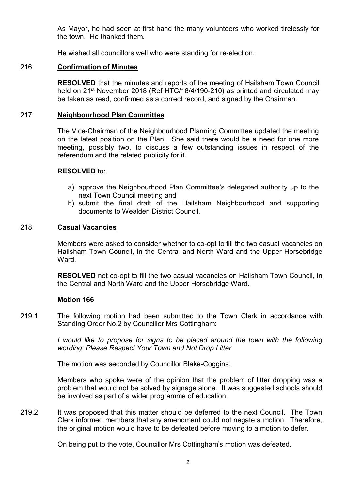As Mayor, he had seen at first hand the many volunteers who worked tirelessly for the town. He thanked them.

He wished all councillors well who were standing for re-election.

# 216 **Confirmation of Minutes**

**RESOLVED** that the minutes and reports of the meeting of Hailsham Town Council held on 21<sup>st</sup> November 2018 (Ref HTC/18/4/190-210) as printed and circulated may be taken as read, confirmed as a correct record, and signed by the Chairman.

# 217 **Neighbourhood Plan Committee**

The Vice-Chairman of the Neighbourhood Planning Committee updated the meeting on the latest position on the Plan. She said there would be a need for one more meeting, possibly two, to discuss a few outstanding issues in respect of the referendum and the related publicity for it.

# **RESOLVED** to:

- a) approve the Neighbourhood Plan Committee's delegated authority up to the next Town Council meeting and
- b) submit the final draft of the Hailsham Neighbourhood and supporting documents to Wealden District Council.

# 218 **Casual Vacancies**

Members were asked to consider whether to co-opt to fill the two casual vacancies on Hailsham Town Council, in the Central and North Ward and the Upper Horsebridge **Ward** 

**RESOLVED** not co-opt to fill the two casual vacancies on Hailsham Town Council, in the Central and North Ward and the Upper Horsebridge Ward.

# **Motion 166**

219.1 The following motion had been submitted to the Town Clerk in accordance with Standing Order No.2 by Councillor Mrs Cottingham:

> *I would like to propose for signs to be placed around the town with the following wording: Please Respect Your Town and Not Drop Litter.*

The motion was seconded by Councillor Blake-Coggins.

Members who spoke were of the opinion that the problem of litter dropping was a problem that would not be solved by signage alone. It was suggested schools should be involved as part of a wider programme of education.

219.2 It was proposed that this matter should be deferred to the next Council. The Town Clerk informed members that any amendment could not negate a motion. Therefore, the original motion would have to be defeated before moving to a motion to defer.

On being put to the vote, Councillor Mrs Cottingham's motion was defeated.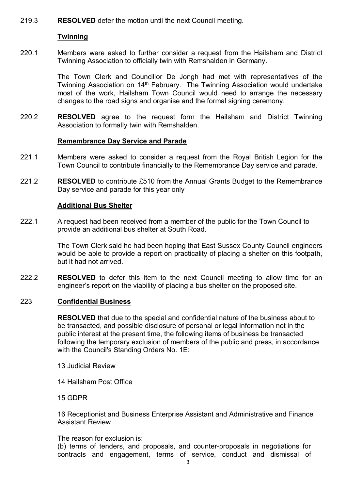219.3 **RESOLVED** defer the motion until the next Council meeting.

# **Twinning**

220.1 Members were asked to further consider a request from the Hailsham and District Twinning Association to officially twin with Remshalden in Germany.

> The Town Clerk and Councillor De Jongh had met with representatives of the Twinning Association on 14<sup>th</sup> February. The Twinning Association would undertake most of the work, Hailsham Town Council would need to arrange the necessary changes to the road signs and organise and the formal signing ceremony.

220.2 **RESOLVED** agree to the request form the Hailsham and District Twinning Association to formally twin with Remshalden.

# **Remembrance Day Service and Parade**

- 221.1 Members were asked to consider a request from the Royal British Legion for the Town Council to contribute financially to the Remembrance Day service and parade.
- 221.2 **RESOLVED** to contribute £510 from the Annual Grants Budget to the Remembrance Day service and parade for this year only

# **Additional Bus Shelter**

222.1 A request had been received from a member of the public for the Town Council to provide an additional bus shelter at South Road.

> The Town Clerk said he had been hoping that East Sussex County Council engineers would be able to provide a report on practicality of placing a shelter on this footpath, but it had not arrived.

222.2 **RESOLVED** to defer this item to the next Council meeting to allow time for an engineer's report on the viability of placing a bus shelter on the proposed site.

# 223 **Confidential Business**

**RESOLVED** that due to the special and confidential nature of the business about to be transacted, and possible disclosure of personal or legal information not in the public interest at the present time, the following items of business be transacted following the temporary exclusion of members of the public and press, in accordance with the Council's Standing Orders No. 1E:

- 13 Judicial Review
- 14 Hailsham Post Office
- 15 GDPR

16 Receptionist and Business Enterprise Assistant and Administrative and Finance Assistant Review

The reason for exclusion is:

(b) terms of tenders, and proposals, and counter-proposals in negotiations for contracts and engagement, terms of service, conduct and dismissal of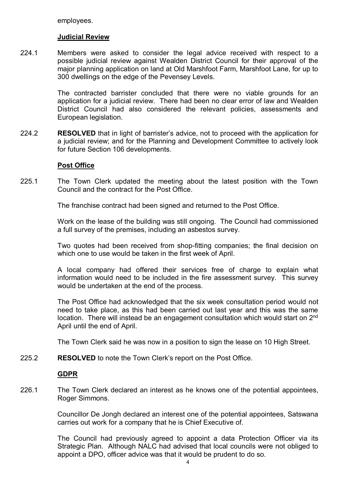employees.

### **Judicial Review**

224.1 Members were asked to consider the legal advice received with respect to a possible judicial review against Wealden District Council for their approval of the major planning application on land at Old Marshfoot Farm, Marshfoot Lane, for up to 300 dwellings on the edge of the Pevensey Levels.

> The contracted barrister concluded that there were no viable grounds for an application for a judicial review. There had been no clear error of law and Wealden District Council had also considered the relevant policies, assessments and European legislation.

224.2 **RESOLVED** that in light of barrister's advice, not to proceed with the application for a judicial review; and for the Planning and Development Committee to actively look for future Section 106 developments.

### **Post Office**

225.1 The Town Clerk updated the meeting about the latest position with the Town Council and the contract for the Post Office.

The franchise contract had been signed and returned to the Post Office.

Work on the lease of the building was still ongoing. The Council had commissioned a full survey of the premises, including an asbestos survey.

Two quotes had been received from shop-fitting companies; the final decision on which one to use would be taken in the first week of April.

A local company had offered their services free of charge to explain what information would need to be included in the fire assessment survey. This survey would be undertaken at the end of the process.

The Post Office had acknowledged that the six week consultation period would not need to take place, as this had been carried out last year and this was the same location. There will instead be an engagement consultation which would start on 2<sup>nd</sup> April until the end of April.

The Town Clerk said he was now in a position to sign the lease on 10 High Street.

225.2 **RESOLVED** to note the Town Clerk's report on the Post Office.

# **GDPR**

226.1 The Town Clerk declared an interest as he knows one of the potential appointees, Roger Simmons.

> Councillor De Jongh declared an interest one of the potential appointees, Satswana carries out work for a company that he is Chief Executive of.

> The Council had previously agreed to appoint a data Protection Officer via its Strategic Plan. Although NALC had advised that local councils were not obliged to appoint a DPO, officer advice was that it would be prudent to do so.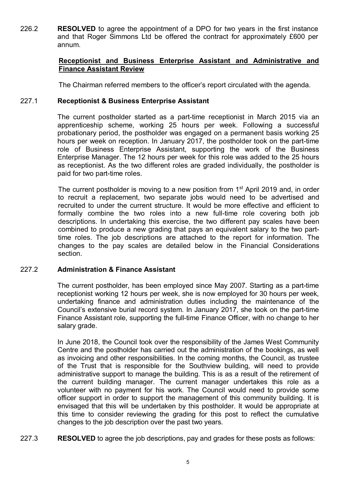226.2 **RESOLVED** to agree the appointment of a DPO for two years in the first instance and that Roger Simmons Ltd be offered the contract for approximately £600 per annum.

# **Receptionist and Business Enterprise Assistant and Administrative and Finance Assistant Review**

The Chairman referred members to the officer's report circulated with the agenda.

#### 227.1 **Receptionist & Business Enterprise Assistant**

The current postholder started as a part-time receptionist in March 2015 via an apprenticeship scheme, working 25 hours per week. Following a successful probationary period, the postholder was engaged on a permanent basis working 25 hours per week on reception. In January 2017, the postholder took on the part-time role of Business Enterprise Assistant, supporting the work of the Business Enterprise Manager. The 12 hours per week for this role was added to the 25 hours as receptionist. As the two different roles are graded individually, the postholder is paid for two part-time roles.

The current postholder is moving to a new position from 1<sup>st</sup> April 2019 and, in order to recruit a replacement, two separate jobs would need to be advertised and recruited to under the current structure. It would be more effective and efficient to formally combine the two roles into a new full-time role covering both job descriptions. In undertaking this exercise, the two different pay scales have been combined to produce a new grading that pays an equivalent salary to the two parttime roles. The job descriptions are attached to the report for information. The changes to the pay scales are detailed below in the Financial Considerations section.

#### 227.2 **Administration & Finance Assistant**

The current postholder, has been employed since May 2007. Starting as a part-time receptionist working 12 hours per week, she is now employed for 30 hours per week, undertaking finance and administration duties including the maintenance of the Council's extensive burial record system. In January 2017, she took on the part-time Finance Assistant role, supporting the full-time Finance Officer, with no change to her salary grade.

In June 2018, the Council took over the responsibility of the James West Community Centre and the postholder has carried out the administration of the bookings, as well as invoicing and other responsibilities. In the coming months, the Council, as trustee of the Trust that is responsible for the Southview building, will need to provide administrative support to manage the building. This is as a result of the retirement of the current building manager. The current manager undertakes this role as a volunteer with no payment for his work. The Council would need to provide some officer support in order to support the management of this community building. It is envisaged that this will be undertaken by this postholder. It would be appropriate at this time to consider reviewing the grading for this post to reflect the cumulative changes to the job description over the past two years.

227.3 **RESOLVED** to agree the job descriptions, pay and grades for these posts as follows: